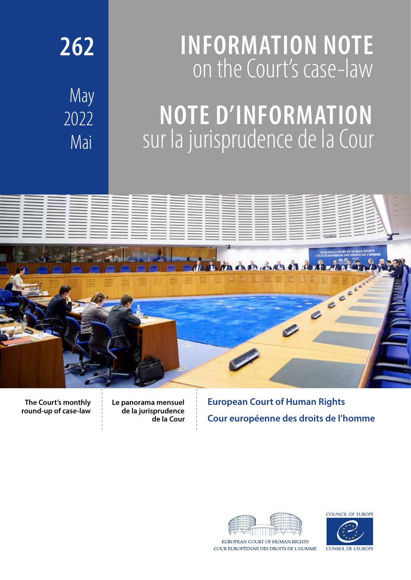# **INFORMATION NOTE** on the Court's case-law

May 2022 Mai

**262**

# **NOTE D'INFORMATION** sur la jurisprudence de la Cour



**The Court's monthly round-up of case-law** **Le panorama mensuel de la jurisprudence de la Cour** **European Court of Human Rights Cour européenne des droits de l'homme**



COUR EUROPÉENNE DES DROITS DE L'HOMME

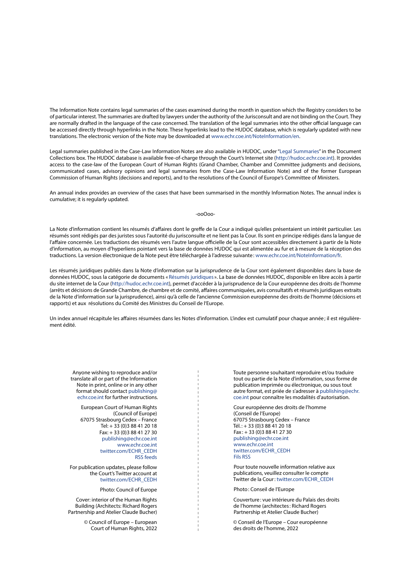The Information Note contains legal summaries of the cases examined during the month in question which the Registry considers to be of particular interest. The summaries are drafted by lawyers under the authority of the Jurisconsult and are not binding on the Court. They are normally drafted in the language of the case concerned. The translation of the legal summaries into the other official language can be accessed directly through hyperlinks in the Note. These hyperlinks lead to the HUDOC database, which is regularly updated with new translations. The electronic version of the Note may be downloaded at [www.echr.coe.int/NoteInformation/en](http://www.echr.coe.int/NoteInformation/en).

Legal summaries published in the Case-Law Information Notes are also available in HUDOC, under ["Legal Summaries](https://hudoc.echr.coe.int/eng#{"sort":["kpdate Descending"],"documentcollectionid2":["CLIN"]})" in the Document Collections box. The HUDOC database is available free-of-charge through the Court's Internet site (<http://hudoc.echr.coe.int>). It provides access to the case-law of the European Court of Human Rights (Grand Chamber, Chamber and Committee judgments and decisions, communicated cases, advisory opinions and legal summaries from the Case-Law Information Note) and of the former European Commission of Human Rights (decisions and reports), and to the resolutions of the Council of Europe's Committee of Ministers.

An annual index provides an overview of the cases that have been summarised in the monthly Information Notes. The annual index is cumulative; it is regularly updated.

-ooOoo-

La Note d'information contient les résumés d'affaires dont le greffe de la Cour a indiqué qu'elles présentaient un intérêt particulier. Les résumés sont rédigés par des juristes sous l'autorité du jurisconsulte et ne lient pas la Cour. Ils sont en principe rédigés dans la langue de l'affaire concernée. Les traductions des résumés vers l'autre langue officielle de la Cour sont accessibles directement à partir de la Note d'information, au moyen d'hyperliens pointant vers la base de données HUDOC qui est alimentée au fur et à mesure de la réception des traductions. La version électronique de la Note peut être téléchargée à l'adresse suivante: [www.echr.coe.int/NoteInformation/fr.](http://www.echr.coe.int/NoteInformation/fr)

Les résumés juridiques publiés dans la Note d'information sur la jurisprudence de la Cour sont également disponibles dans la base de données HUDOC, sous la catégorie de documents «[Résumés juridiques](https://hudoc.echr.coe.int/fre#{"sort":["kpdate Descending"],"documentcollectionid2":["CLIN"]}) ». La base de données HUDOC, disponible en libre accès à partir du site internet de la Cour ([http://hudoc.echr.coe.int\)](http://hudoc.echr.coe.int/fre), permet d'accéder à la jurisprudence de la Cour européenne des droits de l'homme (arrêts et décisions de Grande Chambre, de chambre et de comité, affaires communiquées, avis consultatifs et résumés juridiques extraits de la Note d'information sur la jurisprudence), ainsi qu'à celle de l'ancienne Commission européenne des droits de l'homme (décisions et rapports) et aux résolutions du Comité des Ministres du Conseil de l'Europe.

Un index annuel récapitule les affaires résumées dans les Notes d'information. L'index est cumulatif pour chaque année; il est régulièrement édité.

Anyone wishing to reproduce and/or translate all or part of the Information Note in print, online or in any other format should contact [publishing@](mailto:publishing%40echr.coe.int?subject=CLIN) [echr.coe.int](mailto:publishing%40echr.coe.int?subject=CLIN) for further instructions.

European Court of Human Rights (Council of Europe) 67075 Strasbourg Cedex – France Tel: + 33 (0)3 88 41 20 18 Fax: + 33 (0)3 88 41 27 30 [publishing@echr.coe.int](mailto:publishing%40echr.coe.int?subject=CLIN) [www.echr.coe.int](https://www.echr.coe.int) [twitter.com/ECHR\\_CEDH](http://twitter.com/ECHR_CEDH) [RSS feeds](https://www.echr.coe.int/Pages/home.aspx?p=ECHRRSSfeeds&c=)

For publication updates, please follow the Court's Twitter account at [twitter.com/ECHR\\_CEDH](http://twitter.com/ECHR_CEDH)

Photo: Council of Europe

Cover: interior of the Human Rights Building (Architects: Richard Rogers Partnership and Atelier Claude Bucher)

> © Council of Europe – European Court of Human Rights, 2022

Toute personne souhaitant reproduire et/ou traduire tout ou partie de la Note d'information, sous forme de publication imprimée ou électronique, ou sous tout autre format, est priée de s'adresser à [publishing@echr.](mailto:publishing%40echr.coe.int?subject=CLIN) [coe.int](mailto:publishing%40echr.coe.int?subject=CLIN) pour connaître les modalités d'autorisation.

Cour européenne des droits de l'homme (Conseil de l'Europe) 67075 Strasbourg Cedex – France  $T$ él.: + 33 (0) 3 88 41 20 18  $Fax : + 33(0)388412730$ [publishing@echr.coe.int](mailto:publishing%40echr.coe.int?subject=CLIN) [www.echr.coe.int](https://www.echr.coe.int) [twitter.com/ECHR\\_CEDH](http://twitter.com/ECHR_CEDH) [Fils RSS](https://www.echr.coe.int/Pages/home.aspx?p=ECHRRSSfeeds&c=fre)

Pour toute nouvelle information relative aux publications, veuillez consulter le compte Twitter de la Cour: [twitter.com/ECHR\\_CEDH](http://twitter.com/ECHR_CEDH)

Photo: Conseil de l'Europe

Couverture: vue intérieure du Palais des droits de l'homme (architectes: Richard Rogers Partnership et Atelier Claude Bucher)

© Conseil de l'Europe – Cour européenne des droits de l'homme, 2022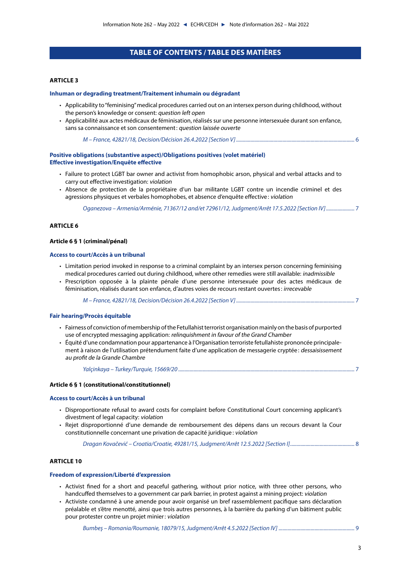## **TABLE OF CONTENTS / TABLE DES MATIÈRES**

### **[ARTICLE 3](#page-5-0)**

#### **[Inhuman or degrading treatment/Traitement inhumain ou dégradant](#page-5-0)**

- [Applicability to "feminising" medical procedures carried out on an intersex person during childhood, without](#page-5-0)  [the person's knowledge or consent:](#page-5-0) question left open
- [Applicabilité aux actes médicaux de féminisation, réalisés sur une personne intersexuée durant son enfance,](#page-5-0)  [sans sa connaissance et son consentement:](#page-5-0) question laissée ouverte

*[M – France, 42821/18, Decision/Décision 26.4.2022 \[Section V\]](#page-5-0)*............................................................................................ 6

## **[Positive obligations \(substantive aspect\)/Obligations positives \(volet matériel\)](#page-6-0) [Effective investigation/Enquête effective](#page-6-0)**

- [Failure to protect LGBT bar owner and activist from homophobic arson, physical and verbal attacks and to](#page-6-0)  [carry out effective investigation:](#page-6-0) violation
- [Absence de protection de la propriétaire d'un bar militante LGBT contre un incendie criminel et des](#page-6-0)  [agressions physiques et verbales homophobes, et absence d'enquête effective:](#page-6-0) violation

*[Oganezova – Armenia/Arménie, 71367/12 and/et 72961/12, Judgment/Arrêt 17.5.2022 \[Section IV\]](#page-6-0)*...................... 7

#### **[ARTICLE 6](#page-6-0)**

#### **[Article 6 § 1 \(criminal/pénal\)](#page-6-0)**

#### **[Access to court/Accès à un tribunal](#page-6-0)**

- [Limitation period invoked in response to a criminal complaint by an intersex person concerning feminising](#page-6-0)  [medical procedures carried out during childhood, where other remedies were still available:](#page-6-0) inadmissible
- [Prescription opposée à la plainte pénale d'une personne intersexuée pour des actes médicaux de](#page-6-0)  [féminisation, réalisés durant son enfance, d'autres voies de recours restant ouvertes:](#page-6-0) irrecevable

*[M – France, 42821/18, Decision/Décision 26.4.2022 \[Section V\]](#page-6-0)*............................................................................................ 7

#### **[Fair hearing/Procès équitable](#page-6-0)**

- [Fairness of conviction of membership of the Fetullahist terrorist organisation mainly on the basis of purported](#page-6-0)  use of encrypted messaging application: [relinquishment in favour of the Grand Chamber](#page-6-0)
- [Équité d'une condamnation pour appartenance à l'Organisation terroriste fetullahiste prononcée principale](#page-6-0)[ment à raison de l'utilisation prétendument faite d'une application de messagerie cryptée:](#page-6-0) dessaisissement [au profit de la Grande Chambre](#page-6-0)

*Yalçinkaya – Turkey/Turquie, 15669/20* [.........................................................................................................................................](#page-6-0) 7

### **[Article 6 § 1 \(constitutional/constitutionnel\)](#page-7-0)**

#### **[Access to court/Accès à un tribunal](#page-7-0)**

- [Disproportionate refusal to award costs for complaint before Constitutional Court concerning applicant's](#page-7-0)  [divestment of legal capacity:](#page-7-0) violation
- [Rejet disproportionné d'une demande de remboursement des dépens dans un recours devant la Cour](#page-7-0)  [constitutionnelle concernant une privation de capacité juridique](#page-7-0) : violation

*[Dragan Kovačević – Croatia/Croatie, 49281/15, Judgment/Arrêt 12.5.2022 \[Section I\]](#page-7-0)*.................................................. 8

#### **[ARTICLE 10](#page-8-0)**

#### **[Freedom of expression/Liberté d'expression](#page-8-0)**

- [Activist fined for a short and peaceful gathering, without prior notice, with three other persons, who](#page-8-0)  [handcuffed themselves to a government car park barrier, in protest against a mining project:](#page-8-0) violation
- [Activiste condamné à une amende pour avoir organisé un bref rassemblement pacifique sans déclaration](#page-8-0)  [préalable et s'être menotté, ainsi que trois autres personnes, à la barrière du parking d'un bâtiment public](#page-8-0)  [pour protester contre un projet minier:](#page-8-0) violation

*[Bumbeş – Romania/Roumanie, 18079/15, Judgment/Arrêt 4.5.2022 \[Section IV\]](#page-8-0)* ........................................................... 9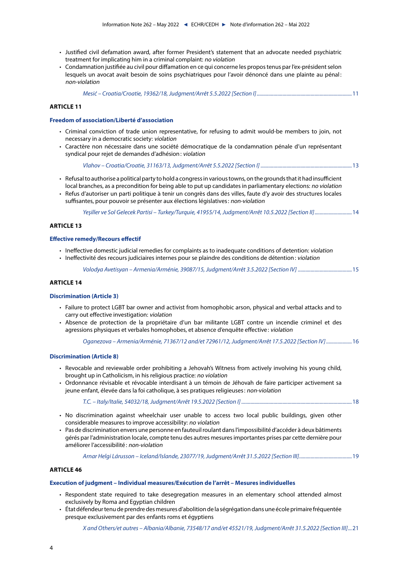- [Justified civil defamation award, after former President's statement that an advocate needed psychiatric](#page-10-0)  [treatment for implicating him in a criminal complaint:](#page-10-0) no violation
- [Condamnation justifiée au civil pour diffamation en ce qui concerne les propos tenus par l'ex-président selon](#page-10-0)  [lesquels un avocat avait besoin de soins psychiatriques pour l'avoir dénoncé dans une plainte au pénal](#page-10-0) : [non-violation](#page-10-0)

*[Mesić – Croatia/Croatie, 19362/18, Judgment/Arrêt 5.5.2022 \[Section I\]](#page-10-0)*..........................................................................11

#### **[ARTICLE 11](#page-12-0)**

#### **[Freedom of association/Liberté d'association](#page-12-0)**

- [Criminal conviction of trade union representative, for refusing to admit would-be members to join, not](#page-12-0)  [necessary in a democratic society:](#page-12-0) violation
- [Caractère non nécessaire dans une société démocratique de la condamnation pénale d'un représentant](#page-12-0)  [syndical pour rejet de demandes d'adhésion:](#page-12-0) violation

*[Vlahov – Croatia/Croatie, 31163/13, Judgment/Arrêt 5.5.2022 \[Section I\]](#page-12-0)* .......................................................................13

• [Refusal to authorise a political party to hold a congress in various towns, on the grounds that it had insufficient](#page-13-0)  [local branches, as a precondition for being able to put up candidates in parliamentary elections:](#page-13-0) no violation • [Refus d'autoriser un parti politique à tenir un congrès dans des villes, faute d'y avoir des structures locales](#page-13-0)  [suffisantes, pour pouvoir se présenter aux élections législatives:](#page-13-0) non-violation

*[Yeşiller ve Sol Gelecek Partisi – Turkey/Turquie, 41955/14, Judgment/Arrêt 10.5.2022 \[Section II\]](#page-13-0)*.............................14

#### **[ARTICLE 13](#page-14-0)**

#### **[Effective remedy/Recours effectif](#page-14-0)**

- [Ineffective domestic judicial remedies for complaints as to inadequate conditions of detention:](#page-14-0) violation
- [Ineffectivité des recours judiciaires internes pour se plaindre des conditions de détention:](#page-14-0) violation

*[Volodya Avetisyan – Armenia/Arménie, 39087/15, Judgment/Arrêt 3.5.2022 \[Section IV\]](#page-14-0)* ..........................................15

#### **[ARTICLE 14](#page-15-0)**

#### **[Discrimination \(Article 3\)](#page-15-0)**

- [Failure to protect LGBT bar owner and activist from homophobic arson, physical and verbal attacks and to](#page-15-0)  [carry out effective investigation:](#page-15-0) violation
- [Absence de protection de la propriétaire d'un bar militante LGBT contre un incendie criminel et des](#page-15-0)  [agressions physiques et verbales homophobes, et absence d'enquête effective:](#page-15-0) violation

*[Oganezova – Armenia/Arménie, 71367/12 and/et 72961/12, Judgment/Arrêt 17.5.2022 \[Section IV\]](#page-15-0)*....................16

#### **[Discrimination \(Article 8\)](#page-17-0)**

- [Revocable and reviewable order prohibiting a Jehovah's Witness from actively involving his young child,](#page-17-0)  [brought up in Catholicism, in his religious practice:](#page-17-0) no violation
- [Ordonnance révisable et révocable interdisant à un témoin de Jéhovah de faire participer activement sa](#page-17-0)  [jeune enfant, élevée dans la foi catholique, à ses pratiques religieuses:](#page-17-0) non-violation

*[T.C. – Italy/Italie, 54032/18, Judgment/Arrêt 19.5.2022 \[Section I\]](#page-17-0)*......................................................................................18

- [No discrimination against wheelchair user unable to access two local public buildings, given other](#page-18-0)  [considerable measures to improve accessibility:](#page-18-0) no violation
- [Pas de discrimination envers une personne en fauteuil roulant dans l'impossibilité d'accéder à deux bâtiments](#page-18-0)  [gérés par l'administration locale, compte tenu des autres mesures importantes prises par cette dernière pour](#page-18-0)  [améliorer l'accessibilité:](#page-18-0) non-violation

*[Arnar Helgi Lárusson – Iceland/Islande, 23077/19, Judgment/Arrêt 31.5.2022 \[Section III\]](#page-18-0)*.........................................19

#### **[ARTICLE 46](#page-19-0)**

#### **[Execution of judgment – Individual measures/Exécution de l'arrêt – Mesures individuelles](#page-19-0)**

- [Respondent state required to take desegregation measures in an elementary school attended almost](#page-19-0)  [exclusively by Roma and Egyptian children](#page-19-0)
- [État défendeur tenu de prendre des mesures d'abolition de la ségrégation dans une école primaire fréquentée](#page-20-0)  [presque exclusivement par des enfants roms et égyptiens](#page-20-0)

*[X and Others/et autres – Albania/Albanie, 73548/17 and/et 45521/19, Judgment/Arrêt 31.5.2022 \[Section III\]](#page-20-0)*...21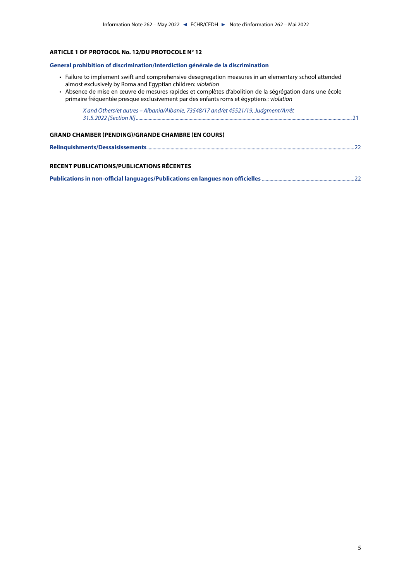## **[ARTICLE 1 OF PROTOCOL No. 12/DU PROTOCOLE N° 12](#page-20-0)**

#### **[General prohibition of discrimination/Interdiction générale de la discrimination](#page-20-0)**

- [Failure to implement swift and comprehensive desegregation measures in an elementary school attended](#page-20-0)  [almost exclusively by Roma and Egyptian children:](#page-20-0) violation
- [Absence de mise en œuvre de mesures rapides et complètes d'abolition de la ségrégation dans une école](#page-20-0)  [primaire fréquentée presque exclusivement par des enfants roms et égyptiens:](#page-20-0) violation

| X and Others/et autres - Albania/Albanie, 73548/17 and/et 45521/19, Judgment/Arrêt |  |
|------------------------------------------------------------------------------------|--|
| <b>GRAND CHAMBER (PENDING)/GRANDE CHAMBRE (EN COURS)</b>                           |  |
|                                                                                    |  |
| RECENT PUBLICATIONS/PUBLICATIONS RÉCENTES                                          |  |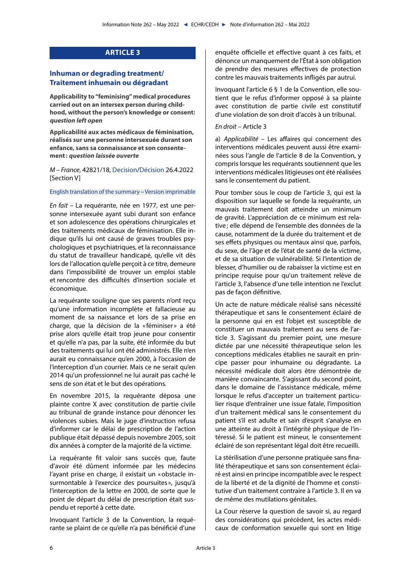## **ARTICLE 3**

## <span id="page-5-0"></span>**Inhuman or degrading treatment/ Traitement inhumain ou dégradant**

**Applicability to "feminising" medical procedures carried out on an intersex person during childhood, without the person's knowledge or consent: question left open**

**Applicabilité aux actes médicaux de féminisation, réalisés sur une personne intersexuée durant son enfance, sans sa connaissance et son consentement: question laissée ouverte**

<span id="page-5-1"></span>*M – France*, 42821/18, [Decision/](https://hudoc.echr.coe.int/eng?i=001-217430)[Décision](https://hudoc.echr.coe.int/fre?i=001-217430) 26.4.2022 [Section V]

## [English translation of the summary](https://hudoc.echr.coe.int/eng?i=002-13664) – [Version imprimable](https://hudoc.echr.coe.int/fre?i=002-13663)

*En fait* – La requérante, née en 1977, est une personne intersexuée ayant subi durant son enfance et son adolescence des opérations chirurgicales et des traitements médicaux de féminisation. Elle indique qu'ils lui ont causé de graves troubles psychologiques et psychiatriques, et la reconnaissance du statut de travailleur handicapé, qu'elle vit dès lors de l'allocation qu'elle perçoit à ce titre, demeure dans l'impossibilité de trouver un emploi stable et rencontre des difficultés d'insertion sociale et économique.

La requérante souligne que ses parents n'ont reçu qu'une information incomplète et fallacieuse au moment de sa naissance et lors de sa prise en charge, que la décision de la « féminiser » a été prise alors qu'elle était trop jeune pour consentir et qu'elle n'a pas, par la suite, été informée du but des traitements qui lui ont été administrés. Elle n'en aurait eu connaissance qu'en 2000, à l'occasion de l'interception d'un courrier. Mais ce ne serait qu'en 2014 qu'un professionnel ne lui aurait pas caché le sens de son état et le but des opérations.

En novembre 2015, la requérante déposa une plainte contre X avec constitution de partie civile au tribunal de grande instance pour dénoncer les violences subies. Mais le juge d'instruction refusa d'informer car le délai de prescription de l'action publique était dépassé depuis novembre 2005, soit dix années à compter de la majorité de la victime.

La requérante fit valoir sans succès que, faute d'avoir été dûment informée par les médecins l'ayant prise en charge, il existait un «obstacle insurmontable à l'exercice des poursuites », jusqu'à l'interception de la lettre en 2000, de sorte que le point de départ du délai de prescription était suspendu et reporté à cette date.

Invoquant l'article 3 de la Convention, la requérante se plaint de ce qu'elle n'a pas bénéficié d'une enquête officielle et effective quant à ces faits, et dénonce un manquement de l'État à son obligation de prendre des mesures effectives de protection contre les mauvais traitements infligés par autrui.

Invoquant l'article 6 § 1 de la Convention, elle soutient que le refus d'informer opposé à sa plainte avec constitution de partie civile est constitutif d'une violation de son droit d'accès à un tribunal.

#### *En droit* – Article 3

a) *Applicabilité* – Les affaires qui concernent des interventions médicales peuvent aussi être examinées sous l'angle de l'article 8 de la Convention, y compris lorsque les requérants soutiennent que les interventions médicales litigieuses ont été réalisées sans le consentement du patient.

Pour tomber sous le coup de l'article 3, qui est la disposition sur laquelle se fonde la requérante, un mauvais traitement doit atteindre un minimum de gravité. L'appréciation de ce minimum est relative; elle dépend de l'ensemble des données de la cause, notamment de la durée du traitement et de ses effets physiques ou mentaux ainsi que, parfois, du sexe, de l'âge et de l'état de santé de la victime, et de sa situation de vulnérabilité. Si l'intention de blesser, d'humilier ou de rabaisser la victime est en principe requise pour qu'un traitement relève de l'article 3, l'absence d'une telle intention ne l'exclut pas de façon définitive.

Un acte de nature médicale réalisé sans nécessité thérapeutique et sans le consentement éclairé de la personne qui en est l'objet est susceptible de constituer un mauvais traitement au sens de l'article 3. S'agissant du premier point, une mesure dictée par une nécessité thérapeutique selon les conceptions médicales établies ne saurait en principe passer pour inhumaine ou dégradante. La nécessité médicale doit alors être démontrée de manière convaincante. S'agissant du second point, dans le domaine de l'assistance médicale, même lorsque le refus d'accepter un traitement particulier risque d'entraîner une issue fatale, l'imposition d'un traitement médical sans le consentement du patient s'il est adulte et sain d'esprit s'analyse en une atteinte au droit à l'intégrité physique de l'intéressé. Si le patient est mineur, le consentement éclairé de son représentant légal doit être recueilli.

La stérilisation d'une personne pratiquée sans finalité thérapeutique et sans son consentement éclairé est ainsi en principe incompatible avec le respect de la liberté et de la dignité de l'homme et constitutive d'un traitement contraire à l'article 3. Il en va de même des mutilations génitales.

La Cour réserve la question de savoir si, au regard des considérations qui précèdent, les actes médicaux de conformation sexuelle qui sont en litige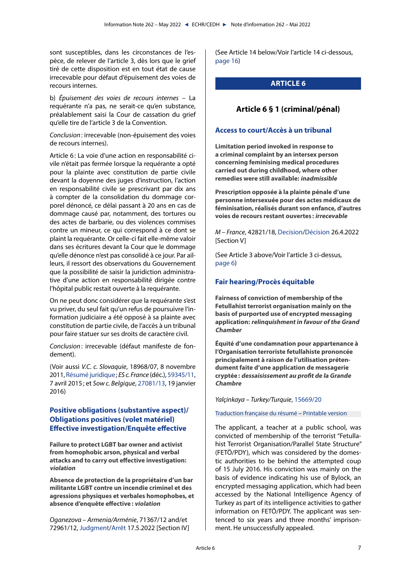<span id="page-6-0"></span>sont susceptibles, dans les circonstances de l'espèce, de relever de l'article 3, dès lors que le grief tiré de cette disposition est en tout état de cause irrecevable pour défaut d'épuisement des voies de recours internes.

b) *Épuisement des voies de recours internes* – La requérante n'a pas, ne serait-ce qu'en substance, préalablement saisi la Cour de cassation du grief qu'elle tire de l'article 3 de la Convention.

*Conclusion*: irrecevable (non-épuisement des voies de recours internes).

Article 6: La voie d'une action en responsabilité civile n'était pas fermée lorsque la requérante a opté pour la plainte avec constitution de partie civile devant la doyenne des juges d'instruction, l'action en responsabilité civile se prescrivant par dix ans à compter de la consolidation du dommage corporel dénoncé, ce délai passant à 20 ans en cas de dommage causé par, notamment, des tortures ou des actes de barbarie, ou des violences commises contre un mineur, ce qui correspond à ce dont se plaint la requérante. Or celle-ci fait elle-même valoir dans ses écritures devant la Cour que le dommage qu'elle dénonce n'est pas consolidé à ce jour. Par ailleurs, il ressort des observations du Gouvernement que la possibilité de saisir la juridiction administrative d'une action en responsabilité dirigée contre l'hôpital public restait ouverte à la requérante.

On ne peut donc considérer que la requérante s'est vu priver, du seul fait qu'un refus de poursuivre l'information judiciaire a été opposé à sa plainte avec constitution de partie civile, de l'accès à un tribunal pour faire statuer sur ses droits de caractère civil.

*Conclusion*: irrecevable (défaut manifeste de fondement).

(Voir aussi *V.C. c. Slovaquie*, 18968/07, 8 novembre 2011, [Résumé juridique](https://hudoc.echr.coe.int/fre?i=002-291); *ES c. France* (déc.), [59345/11](https://hudoc.echr.coe.int/fre?i=001-154258), 7 avril 2015; et *Sow c. Belgique*, [27081/13](https://hudoc.echr.coe.int/fre?i=001-160213), 19 janvier 2016)

# **Positive obligations (substantive aspect)/ Obligations positives (volet matériel) Effective investigation/Enquête effective**

**Failure to protect LGBT bar owner and activist from homophobic arson, physical and verbal attacks and to carry out effective investigation: violation**

**Absence de protection de la propriétaire d'un bar militante LGBT contre un incendie criminel et des agressions physiques et verbales homophobes, et absence d'enquête effective: violation**

*Oganezova – Armenia/Arménie*, 71367/12 and/et 72961/12, [Judgment](https://hudoc.echr.coe.int/eng?i=001-217250)/[Arrêt](https://hudoc.echr.coe.int/fre?i=001-217484) 17.5.2022 [Section IV] (See Article 14 below/Voir l'article 14 ci-dessous, [page 16](#page-15-1))

# **ARTICLE 6**

# **Article 6 § 1 (criminal/pénal)**

## **Access to court/Accès à un tribunal**

**Limitation period invoked in response to a criminal complaint by an intersex person concerning feminising medical procedures carried out during childhood, where other remedies were still available: inadmissible**

**Prescription opposée à la plainte pénale d'une personne intersexuée pour des actes médicaux de féminisation, réalisés durant son enfance, d'autres voies de recours restant ouvertes : irrecevable**

*M – France*, 42821/18, [Decision/](https://hudoc.echr.coe.int/eng?i=001-217430)[Décision](https://hudoc.echr.coe.int/fre?i=001-217430) 26.4.2022 [Section V]

(See Article 3 above/Voir l'article 3 ci-dessus, [page 6](#page-5-1))

# **Fair hearing/Procès équitable**

**Fairness of conviction of membership of the Fetullahist terrorist organisation mainly on the basis of purported use of encrypted messaging application: relinquishment in favour of the Grand Chamber**

**Équité d'une condamnation pour appartenance à l'Organisation terroriste fetullahiste prononcée principalement à raison de l'utilisation prétendument faite d'une application de messagerie cryptée: dessaisissement au profit de la Grande Chambre**

<span id="page-6-1"></span>*Yalçinkaya – Turkey/Turquie*, [15669/20](https://hudoc.echr.coe.int/eng?i=001-208743)

[Traduction française du résumé](https://hudoc.echr.coe.int/fre?i=002-13656) – [Printable version](https://hudoc.echr.coe.int/eng?i=002-13655)

The applicant, a teacher at a public school, was convicted of membership of the terrorist "Fetullahist Terrorist Organisation/Parallel State Structure" (FETÖ/PDY), which was considered by the domestic authorities to be behind the attempted coup of 15 July 2016. His conviction was mainly on the basis of evidence indicating his use of Bylock, an encrypted messaging application, which had been accessed by the National Intelligence Agency of Turkey as part of its intelligence activities to gather information on FETÖ/PDY. The applicant was sentenced to six years and three months' imprisonment. He unsuccessfully appealed.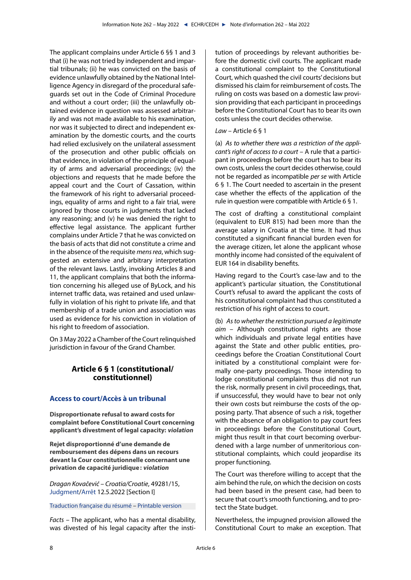<span id="page-7-0"></span>The applicant complains under Article 6 §§ 1 and 3 that (i) he was not tried by independent and impartial tribunals; (ii) he was convicted on the basis of evidence unlawfully obtained by the National Intelligence Agency in disregard of the procedural safeguards set out in the Code of Criminal Procedure and without a court order; (iii) the unlawfully obtained evidence in question was assessed arbitrarily and was not made available to his examination, nor was it subjected to direct and independent examination by the domestic courts, and the courts had relied exclusively on the unilateral assessment of the prosecution and other public officials on that evidence, in violation of the principle of equality of arms and adversarial proceedings; (iv) the objections and requests that he made before the appeal court and the Court of Cassation, within the framework of his right to adversarial proceedings, equality of arms and right to a fair trial, were ignored by those courts in judgments that lacked any reasoning; and (v) he was denied the right to effective legal assistance. The applicant further complains under Article 7 that he was convicted on the basis of acts that did not constitute a crime and in the absence of the requisite *mens rea*, which suggested an extensive and arbitrary interpretation of the relevant laws. Lastly, invoking Articles 8 and 11, the applicant complains that both the information concerning his alleged use of ByLock, and his internet traffic data, was retained and used unlawfully in violation of his right to private life, and that membership of a trade union and association was used as evidence for his conviction in violation of his right to freedom of association.

On 3 May 2022 a Chamber of the Court relinquished jurisdiction in favour of the Grand Chamber.

# **Article 6 § 1 (constitutional/ constitutionnel)**

## **Access to court/Accès à un tribunal**

**Disproportionate refusal to award costs for complaint before Constitutional Court concerning applicant's divestment of legal capacity: violation**

**Rejet disproportionné d'une demande de remboursement des dépens dans un recours devant la Cour constitutionnelle concernant une privation de capacité juridique: violation**

*Dragan Kovačević – Croatia/Croatie*, 49281/15, [Judgment/](https://hudoc.echr.coe.int/eng?i=001-217418)[Arrêt](https://hudoc.echr.coe.int/fre?i=001-217419) 12.5.2022 [Section I]

[Traduction française du résumé](https://hudoc.echr.coe.int/fre?i=002-13660) – [Printable version](https://hudoc.echr.coe.int/eng?i=002-13659)

*Facts* – The applicant, who has a mental disability, was divested of his legal capacity after the institution of proceedings by relevant authorities before the domestic civil courts. The applicant made a constitutional complaint to the Constitutional Court, which quashed the civil courts' decisions but dismissed his claim for reimbursement of costs. The ruling on costs was based on a domestic law provision providing that each participant in proceedings before the Constitutional Court has to bear its own costs unless the court decides otherwise.

## *Law* – Article 6 § 1

(a) *As to whether there was a restriction of the applicant's right of access to a court* – A rule that a participant in proceedings before the court has to bear its own costs, unless the court decides otherwise, could not be regarded as incompatible *per se* with Article 6 § 1. The Court needed to ascertain in the present case whether the effects of the application of the rule in question were compatible with Article 6 § 1.

The cost of drafting a constitutional complaint (equivalent to EUR 815) had been more than the average salary in Croatia at the time. It had thus constituted a significant financial burden even for the average citizen, let alone the applicant whose monthly income had consisted of the equivalent of EUR 164 in disability benefits.

Having regard to the Court's case-law and to the applicant's particular situation, the Constitutional Court's refusal to award the applicant the costs of his constitutional complaint had thus constituted a restriction of his right of access to court.

(b) *As to whether the restriction pursued a legitimate aim* – Although constitutional rights are those which individuals and private legal entities have against the State and other public entities, proceedings before the Croatian Constitutional Court initiated by a constitutional complaint were formally one-party proceedings. Those intending to lodge constitutional complaints thus did not run the risk, normally present in civil proceedings, that, if unsuccessful, they would have to bear not only their own costs but reimburse the costs of the opposing party. That absence of such a risk, together with the absence of an obligation to pay court fees in proceedings before the Constitutional Court, might thus result in that court becoming overburdened with a large number of unmeritorious constitutional complaints, which could jeopardise its proper functioning.

The Court was therefore willing to accept that the aim behind the rule, on which the decision on costs had been based in the present case, had been to secure that court's smooth functioning, and to protect the State budget.

Nevertheless, the impugned provision allowed the Constitutional Court to make an exception. That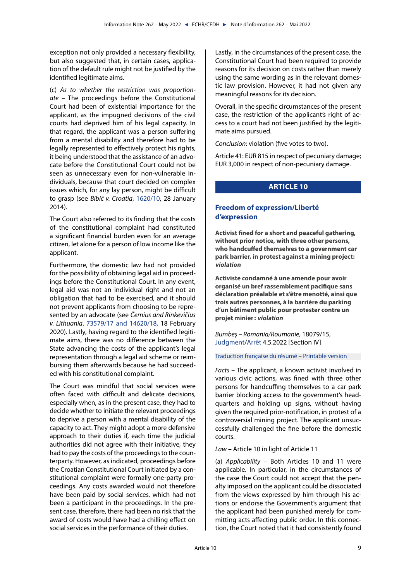<span id="page-8-0"></span>exception not only provided a necessary flexibility, but also suggested that, in certain cases, application of the default rule might not be justified by the identified legitimate aims.

(c) *As to whether the restriction was proportionate* – The proceedings before the Constitutional Court had been of existential importance for the applicant, as the impugned decisions of the civil courts had deprived him of his legal capacity. In that regard, the applicant was a person suffering from a mental disability and therefore had to be legally represented to effectively protect his rights, it being understood that the assistance of an advocate before the Constitutional Court could not be seen as unnecessary even for non-vulnerable individuals, because that court decided on complex issues which, for any lay person, might be difficult to grasp (see *Bibić v. Croatia*, [1620/10,](https://hudoc.echr.coe.int/eng?i=001-141406) 28 January 2014).

The Court also referred to its finding that the costs of the constitutional complaint had constituted a significant financial burden even for an average citizen, let alone for a person of low income like the applicant.

Furthermore, the domestic law had not provided for the possibility of obtaining legal aid in proceedings before the Constitutional Court. In any event, legal aid was not an individual right and not an obligation that had to be exercised, and it should not prevent applicants from choosing to be represented by an advocate (see *Černius and Rinkevičius v. Lithuania*, [73579/17 and 14620/18](https://hudoc.echr.coe.int/eng?i=001-201093), 18 February 2020). Lastly, having regard to the identified legitimate aims, there was no difference between the State advancing the costs of the applicant's legal representation through a legal aid scheme or reimbursing them afterwards because he had succeeded with his constitutional complaint.

The Court was mindful that social services were often faced with difficult and delicate decisions, especially when, as in the present case, they had to decide whether to initiate the relevant proceedings to deprive a person with a mental disability of the capacity to act. They might adopt a more defensive approach to their duties if, each time the judicial authorities did not agree with their initiative, they had to pay the costs of the proceedings to the counterparty. However, as indicated, proceedings before the Croatian Constitutional Court initiated by a constitutional complaint were formally one-party proceedings. Any costs awarded would not therefore have been paid by social services, which had not been a participant in the proceedings. In the present case, therefore, there had been no risk that the award of costs would have had a chilling effect on social services in the performance of their duties.

Lastly, in the circumstances of the present case, the Constitutional Court had been required to provide reasons for its decision on costs rather than merely using the same wording as in the relevant domestic law provision. However, it had not given any meaningful reasons for its decision.

Overall, in the specific circumstances of the present case, the restriction of the applicant's right of access to a court had not been justified by the legitimate aims pursued.

*Conclusion*: violation (five votes to two).

Article 41: EUR 815 in respect of pecuniary damage; EUR 3,000 in respect of non-pecuniary damage.

## **ARTICLE 10**

# **Freedom of expression/Liberté d'expression**

**Activist fined for a short and peaceful gathering, without prior notice, with three other persons, who handcuffed themselves to a government car park barrier, in protest against a mining project: violation**

**Activiste condamné à une amende pour avoir organisé un bref rassemblement pacifique sans déclaration préalable et s'être menotté, ainsi que trois autres personnes, à la barrière du parking d'un bâtiment public pour protester contre un projet minier: violation**

*Bumbeş – Romania/Roumanie*, 18079/15, [Judgment](https://hudoc.echr.coe.int/eng?i=001-216937)/[Arrêt](https://hudoc.echr.coe.int/fre?i=001-217289) 4.5.2022 [Section IV]

### [Traduction française du résumé](https://hudoc.echr.coe.int/fre?i=002-13644) – [Printable version](https://hudoc.echr.coe.int/eng?i=002-13643)

*Facts* – The applicant, a known activist involved in various civic actions, was fined with three other persons for handcuffing themselves to a car park barrier blocking access to the government's headquarters and holding up signs, without having given the required prior-notification, in protest of a controversial mining project. The applicant unsuccessfully challenged the fine before the domestic courts.

## *Law* – Article 10 in light of Article 11

(a) *Applicability* – Both Articles 10 and 11 were applicable. In particular, in the circumstances of the case the Court could not accept that the penalty imposed on the applicant could be dissociated from the views expressed by him through his actions or endorse the Government's argument that the applicant had been punished merely for committing acts affecting public order. In this connection, the Court noted that it had consistently found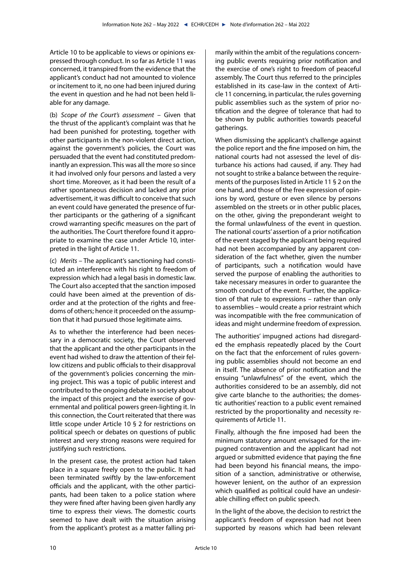Article 10 to be applicable to views or opinions expressed through conduct. In so far as Article 11 was concerned, it transpired from the evidence that the applicant's conduct had not amounted to violence or incitement to it, no one had been injured during the event in question and he had not been held liable for any damage.

(b) *Scope of the Court's assessment* – Given that the thrust of the applicant's complaint was that he had been punished for protesting, together with other participants in the non-violent direct action, against the government's policies, the Court was persuaded that the event had constituted predominantly an expression. This was all the more so since it had involved only four persons and lasted a very short time. Moreover, as it had been the result of a rather spontaneous decision and lacked any prior advertisement, it was difficult to conceive that such an event could have generated the presence of further participants or the gathering of a significant crowd warranting specific measures on the part of the authorities. The Court therefore found it appropriate to examine the case under Article 10, interpreted in the light of Article 11.

(c) *Merits* – The applicant's sanctioning had constituted an interference with his right to freedom of expression which had a legal basis in domestic law. The Court also accepted that the sanction imposed could have been aimed at the prevention of disorder and at the protection of the rights and freedoms of others; hence it proceeded on the assumption that it had pursued those legitimate aims.

As to whether the interference had been necessary in a democratic society, the Court observed that the applicant and the other participants in the event had wished to draw the attention of their fellow citizens and public officials to their disapproval of the government's policies concerning the mining project. This was a topic of public interest and contributed to the ongoing debate in society about the impact of this project and the exercise of governmental and political powers green-lighting it. In this connection, the Court reiterated that there was little scope under Article 10 § 2 for restrictions on political speech or debates on questions of public interest and very strong reasons were required for justifying such restrictions.

In the present case, the protest action had taken place in a square freely open to the public. It had been terminated swiftly by the law-enforcement officials and the applicant, with the other participants, had been taken to a police station where they were fined after having been given hardly any time to express their views. The domestic courts seemed to have dealt with the situation arising from the applicant's protest as a matter falling primarily within the ambit of the regulations concerning public events requiring prior notification and the exercise of one's right to freedom of peaceful assembly. The Court thus referred to the principles established in its case-law in the context of Article 11 concerning, in particular, the rules governing public assemblies such as the system of prior notification and the degree of tolerance that had to be shown by public authorities towards peaceful gatherings.

When dismissing the applicant's challenge against the police report and the fine imposed on him, the national courts had not assessed the level of disturbance his actions had caused, if any. They had not sought to strike a balance between the requirements of the purposes listed in Article 11 § 2 on the one hand, and those of the free expression of opinions by word, gesture or even silence by persons assembled on the streets or in other public places, on the other, giving the preponderant weight to the formal unlawfulness of the event in question. The national courts' assertion of a prior notification of the event staged by the applicant being required had not been accompanied by any apparent consideration of the fact whether, given the number of participants, such a notification would have served the purpose of enabling the authorities to take necessary measures in order to guarantee the smooth conduct of the event. Further, the application of that rule to expressions – rather than only to assemblies – would create a prior restraint which was incompatible with the free communication of ideas and might undermine freedom of expression.

The authorities' impugned actions had disregarded the emphasis repeatedly placed by the Court on the fact that the enforcement of rules governing public assemblies should not become an end in itself. The absence of prior notification and the ensuing "unlawfulness" of the event, which the authorities considered to be an assembly, did not give carte blanche to the authorities; the domestic authorities' reaction to a public event remained restricted by the proportionality and necessity requirements of Article 11.

Finally, although the fine imposed had been the minimum statutory amount envisaged for the impugned contravention and the applicant had not argued or submitted evidence that paying the fine had been beyond his financial means, the imposition of a sanction, administrative or otherwise, however lenient, on the author of an expression which qualified as political could have an undesirable chilling effect on public speech.

In the light of the above, the decision to restrict the applicant's freedom of expression had not been supported by reasons which had been relevant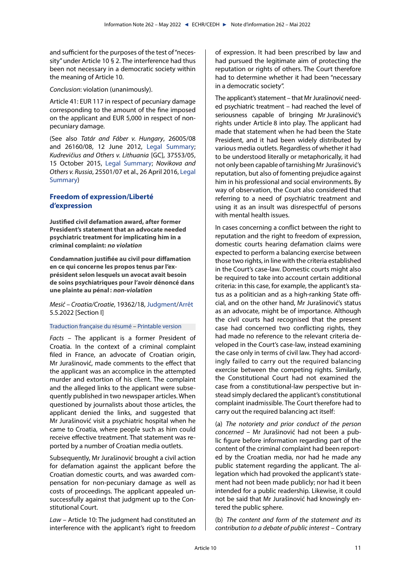<span id="page-10-0"></span>and sufficient for the purposes of the test of "necessity" under Article 10 § 2. The interference had thus been not necessary in a democratic society within the meaning of Article 10.

*Conclusion*: violation (unanimously).

Article 41: EUR 117 in respect of pecuniary damage corresponding to the amount of the fine imposed on the applicant and EUR 5,000 in respect of nonpecuniary damage.

(See also *Tatár and Fáber v. Hungary*, 26005/08 and 26160/08, 12 June 2012, [Legal Summary](https://hudoc.echr.coe.int/eng?i=002-3895); *Kudrevičius and Others v. Lithuania* [GC], 37553/05, 15 October 2015, [Legal Summary;](https://hudoc.echr.coe.int/eng?i=002-10741) *Novikova and Others v. Russia*, 25501/07 et al., 26 April 2016, [Legal](https://hudoc.echr.coe.int/eng?i=002-11029) [Summary](https://hudoc.echr.coe.int/eng?i=002-11029))

## **Freedom of expression/Liberté d'expression**

**Justified civil defamation award, after former President's statement that an advocate needed psychiatric treatment for implicating him in a criminal complaint: no violation**

**Condamnation justifiée au civil pour diffamation en ce qui concerne les propos tenus par l'exprésident selon lesquels un avocat avait besoin de soins psychiatriques pour l'avoir dénoncé dans une plainte au pénal: non-violation**

*Mesić – Croatia/Croatie*, 19362/18, [Judgment/](https://hudoc.echr.coe.int/eng?i=001-217119)[Arrêt](https://hudoc.echr.coe.int/fre?i=001-217312) 5.5.2022 [Section I]

### [Traduction française du résumé](https://hudoc.echr.coe.int/fre?i=002-13652) – [Printable version](https://hudoc.echr.coe.int/eng?i=002-13651)

*Facts* – The applicant is a former President of Croatia. In the context of a criminal complaint filed in France, an advocate of Croatian origin, Mr Jurašinović, made comments to the effect that the applicant was an accomplice in the attempted murder and extortion of his client. The complaint and the alleged links to the applicant were subsequently published in two newspaper articles. When questioned by journalists about those articles, the applicant denied the links, and suggested that Mr Jurašinović visit a psychiatric hospital when he came to Croatia, where people such as him could receive effective treatment. That statement was reported by a number of Croatian media outlets.

Subsequently, Mr Jurašinović brought a civil action for defamation against the applicant before the Croatian domestic courts, and was awarded compensation for non-pecuniary damage as well as costs of proceedings. The applicant appealed unsuccessfully against that judgment up to the Constitutional Court.

*Law* – Article 10: The judgment had constituted an interference with the applicant's right to freedom of expression. It had been prescribed by law and had pursued the legitimate aim of protecting the reputation or rights of others. The Court therefore had to determine whether it had been "necessary in a democratic society".

The applicant's statement – that Mr Jurašinović needed psychiatric treatment – had reached the level of seriousness capable of bringing MrJurašinović's rights under Article 8 into play. The applicant had made that statement when he had been the State President, and it had been widely distributed by various media outlets. Regardless of whether it had to be understood literally or metaphorically, it had not only been capable of tarnishing Mr Jurašinović's reputation, but also of fomenting prejudice against him in his professional and social environments. By way of observation, the Court also considered that referring to a need of psychiatric treatment and using it as an insult was disrespectful of persons with mental health issues.

In cases concerning a conflict between the right to reputation and the right to freedom of expression, domestic courts hearing defamation claims were expected to perform a balancing exercise between those two rights, in line with the criteria established in the Court's case-law. Domestic courts might also be required to take into account certain additional criteria: in this case, for example, the applicant's status as a politician and as a high-ranking State official, and on the other hand, Mr Jurašinović's status as an advocate, might be of importance. Although the civil courts had recognised that the present case had concerned two conflicting rights, they had made no reference to the relevant criteria developed in the Court's case-law, instead examining the case only in terms of civil law. They had accordingly failed to carry out the required balancing exercise between the competing rights. Similarly, the Constitutional Court had not examined the case from a constitutional-law perspective but instead simply declared the applicant's constitutional complaint inadmissible. The Court therefore had to carry out the required balancing act itself:

(a) *The notoriety and prior conduct of the person concerned* – Mr Jurašinović had not been a public figure before information regarding part of the content of the criminal complaint had been reported by the Croatian media, nor had he made any public statement regarding the applicant. The allegation which had provoked the applicant's statement had not been made publicly; nor had it been intended for a public readership. Likewise, it could not be said that Mr Jurašinović had knowingly entered the public sphere.

(b) *The content and form of the statement and its contribution to a debate of public interest* – Contrary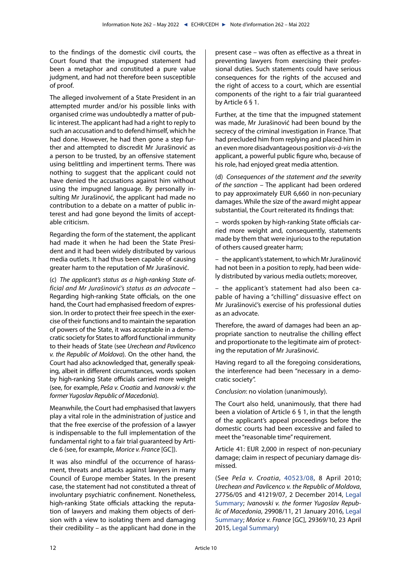to the findings of the domestic civil courts, the Court found that the impugned statement had been a metaphor and constituted a pure value judgment, and had not therefore been susceptible of proof.

The alleged involvement of a State President in an attempted murder and/or his possible links with organised crime was undoubtedly a matter of public interest. The applicant had had a right to reply to such an accusation and to defend himself, which he had done. However, he had then gone a step further and attempted to discredit Mr Jurašinović as a person to be trusted, by an offensive statement using belittling and impertinent terms. There was nothing to suggest that the applicant could not have denied the accusations against him without using the impugned language. By personally insulting Mr Jurašinović, the applicant had made no contribution to a debate on a matter of public interest and had gone beyond the limits of acceptable criticism.

Regarding the form of the statement, the applicant had made it when he had been the State President and it had been widely distributed by various media outlets. It had thus been capable of causing greater harm to the reputation of Mr Jurašinović.

(c) *The applicant's status as a high-ranking State official and Mr Jurašinović's status as an advocate* – Regarding high-ranking State officials, on the one hand, the Court had emphasised freedom of expression. In order to protect their free speech in the exercise of their functions and to maintain the separation of powers of the State, it was acceptable in a democratic society for States to afford functional immunity to their heads of State (see *Urechean and Pavlicenco v. the Republic of Moldova*). On the other hand, the Court had also acknowledged that, generally speaking, albeit in different circumstances, words spoken by high-ranking State officials carried more weight (see, for example, *Peša v. Croatia* and *Ivanovski v. the former Yugoslav Republic of Macedonia*).

Meanwhile, the Court had emphasised that lawyers play a vital role in the administration of justice and that the free exercise of the profession of a lawyer is indispensable to the full implementation of the fundamental right to a fair trial guaranteed by Article 6 (see, for example, *Morice v. France* [GC]).

It was also mindful of the occurrence of harassment, threats and attacks against lawyers in many Council of Europe member States. In the present case, the statement had not constituted a threat of involuntary psychiatric confinement. Nonetheless, high-ranking State officials attacking the reputation of lawyers and making them objects of derision with a view to isolating them and damaging their credibility – as the applicant had done in the present case – was often as effective as a threat in preventing lawyers from exercising their professional duties. Such statements could have serious consequences for the rights of the accused and the right of access to a court, which are essential components of the right to a fair trial guaranteed by Article 6 § 1.

Further, at the time that the impugned statement was made, Mr Jurašinović had been bound by the secrecy of the criminal investigation in France. That had precluded him from replying and placed him in an even more disadvantageous position *vis-à-vis* the applicant, a powerful public figure who, because of his role, had enjoyed great media attention.

(d) *Consequences of the statement and the severity of the sanction* – The applicant had been ordered to pay approximately EUR 6,660 in non-pecuniary damages. While the size of the award might appear substantial, the Court reiterated its findings that:

– words spoken by high-ranking State officials carried more weight and, consequently, statements made by them that were injurious to the reputation of others caused greater harm;

– the applicant's statement, to which Mr Jurašinović had not been in a position to reply, had been widely distributed by various media outlets; moreover,

– the applicant's statement had also been capable of having a "chilling" dissuasive effect on Mr Jurašinović's exercise of his professional duties as an advocate.

Therefore, the award of damages had been an appropriate sanction to neutralise the chilling effect and proportionate to the legitimate aim of protecting the reputation of Mr Jurašinović.

Having regard to all the foregoing considerations, the interference had been "necessary in a democratic society".

*Conclusion*: no violation (unanimously).

The Court also held, unanimously, that there had been a violation of Article 6 § 1, in that the length of the applicant's appeal proceedings before the domestic courts had been excessive and failed to meet the "reasonable time" requirement.

Article 41: EUR 2,000 in respect of non-pecuniary damage; claim in respect of pecuniary damage dismissed.

(See *Peša v. Croatia*, [40523/08](https://hudoc.echr.coe.int/eng?i=001-98189), 8 April 2010; *Urechean and Pavlicenco v. the Republic of Moldova*, 27756/05 and 41219/07, 2 December 2014, [Legal](https://hudoc.echr.coe.int/eng?i=002-10307) [Summary](https://hudoc.echr.coe.int/eng?i=002-10307); *Ivanovski v. the former Yugoslav Republic of Macedonia*, 29908/11, 21 January 2016, [Legal](https://hudoc.echr.coe.int/eng?i=002-10864) [Summary](https://hudoc.echr.coe.int/eng?i=002-10864); *Morice v. France* [GC], 29369/10, 23 April 2015, [Legal Summary](https://hudoc.echr.coe.int/eng?i=002-10657))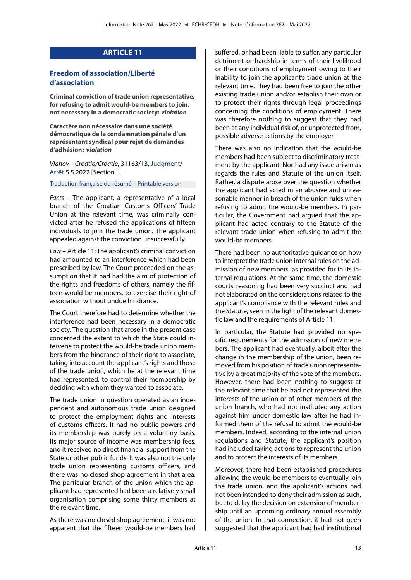# **ARTICLE 11**

## <span id="page-12-0"></span>**Freedom of association/Liberté d'association**

**Criminal conviction of trade union representative, for refusing to admit would-be members to join, not necessary in a democratic society: violation**

**Caractère non nécessaire dans une société démocratique de la condamnation pénale d'un représentant syndical pour rejet de demandes d'adhésion: violation**

*Vlahov – Croatia/Croatie*, 31163/13, [Judgment/](https://hudoc.echr.coe.int/eng?i=001-217114) [Arrêt](https://hudoc.echr.coe.int/fre?i=001-217317) 5.5.2022 [Section I]

[Traduction française du résumé](https://hudoc.echr.coe.int/fre?i=002-13648) – [Printable version](https://hudoc.echr.coe.int/eng?i=002-13647)

*Facts* – The applicant, a representative of a local branch of the Croatian Customs Officers' Trade Union at the relevant time, was criminally convicted after he refused the applications of fifteen individuals to join the trade union. The applicant appealed against the conviction unsuccessfully.

*Law* – Article 11: The applicant's criminal conviction had amounted to an interference which had been prescribed by law. The Court proceeded on the assumption that it had had the aim of protection of the rights and freedoms of others, namely the fifteen would-be members, to exercise their right of association without undue hindrance.

The Court therefore had to determine whether the interference had been necessary in a democratic society. The question that arose in the present case concerned the extent to which the State could intervene to protect the would-be trade union members from the hindrance of their right to associate, taking into account the applicant's rights and those of the trade union, which he at the relevant time had represented, to control their membership by deciding with whom they wanted to associate.

The trade union in question operated as an independent and autonomous trade union designed to protect the employment rights and interests of customs officers. It had no public powers and its membership was purely on a voluntary basis. Its major source of income was membership fees, and it received no direct financial support from the State or other public funds. It was also not the only trade union representing customs officers, and there was no closed shop agreement in that area. The particular branch of the union which the applicant had represented had been a relatively small organisation comprising some thirty members at the relevant time.

As there was no closed shop agreement, it was not apparent that the fifteen would-be members had suffered, or had been liable to suffer, any particular detriment or hardship in terms of their livelihood or their conditions of employment owing to their inability to join the applicant's trade union at the relevant time. They had been free to join the other existing trade union and/or establish their own or to protect their rights through legal proceedings concerning the conditions of employment. There was therefore nothing to suggest that they had been at any individual risk of, or unprotected from, possible adverse actions by the employer.

There was also no indication that the would-be members had been subject to discriminatory treatment by the applicant. Nor had any issue arisen as regards the rules and Statute of the union itself. Rather, a dispute arose over the question whether the applicant had acted in an abusive and unreasonable manner in breach of the union rules when refusing to admit the would-be members. In particular, the Government had argued that the applicant had acted contrary to the Statute of the relevant trade union when refusing to admit the would-be members.

There had been no authoritative guidance on how to interpret the trade union internal rules on the admission of new members, as provided for in its internal regulations. At the same time, the domestic courts' reasoning had been very succinct and had not elaborated on the considerations related to the applicant's compliance with the relevant rules and the Statute, seen in the light of the relevant domestic law and the requirements of Article 11.

In particular, the Statute had provided no specific requirements for the admission of new members. The applicant had eventually, albeit after the change in the membership of the union, been removed from his position of trade union representative by a great majority of the vote of the members. However, there had been nothing to suggest at the relevant time that he had not represented the interests of the union or of other members of the union branch, who had not instituted any action against him under domestic law after he had informed them of the refusal to admit the would-be members. Indeed, according to the internal union regulations and Statute, the applicant's position had included taking actions to represent the union and to protect the interests of its members.

Moreover, there had been established procedures allowing the would-be members to eventually join the trade union, and the applicant's actions had not been intended to deny their admission as such, but to delay the decision on extension of membership until an upcoming ordinary annual assembly of the union. In that connection, it had not been suggested that the applicant had had institutional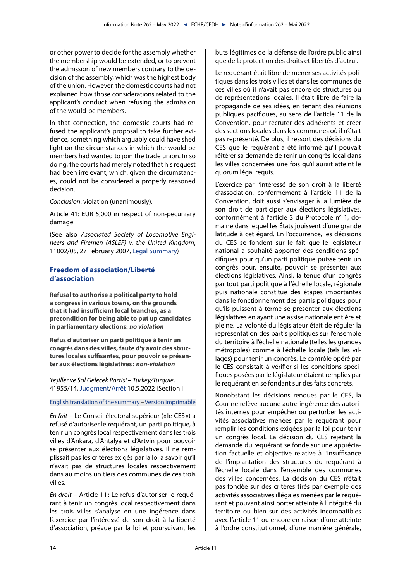<span id="page-13-0"></span>or other power to decide for the assembly whether the membership would be extended, or to prevent the admission of new members contrary to the decision of the assembly, which was the highest body of the union. However, the domestic courts had not explained how those considerations related to the applicant's conduct when refusing the admission of the would-be members.

In that connection, the domestic courts had refused the applicant's proposal to take further evidence, something which arguably could have shed light on the circumstances in which the would-be members had wanted to join the trade union. In so doing, the courts had merely noted that his request had been irrelevant, which, given the circumstances, could not be considered a properly reasoned decision.

*Conclusion*: violation (unanimously).

Article 41: EUR 5,000 in respect of non-pecuniary damage.

(See also *Associated Society of Locomotive Engineers and Firemen (ASLEF) v. the United Kingdom*, 11002/05, 27 February 2007, [Legal Summary](https://hudoc.echr.coe.int/eng?i=002-2863))

## **Freedom of association/Liberté d'association**

**Refusal to authorise a political party to hold a congress in various towns, on the grounds that it had insufficient local branches, as a precondition for being able to put up candidates in parliamentary elections: no violation**

**Refus d'autoriser un parti politique à tenir un congrès dans des villes, faute d'y avoir des structures locales suffisantes, pour pouvoir se présenter aux élections législatives : non-violation**

*Yeşiller ve Sol Gelecek Partisi – Turkey/Turquie*, 41955/14, [Judgment](https://hudoc.echr.coe.int/eng?i=001-217414)/[Arrêt](https://hudoc.echr.coe.int/fre?i=001-217394) 10.5.2022 [Section II]

## [English translation of the summary](https://hudoc.echr.coe.int/eng?i=002-13658) – [Version imprimable](https://hudoc.echr.coe.int/fre?i=002-13657)

*En fait* – Le Conseil électoral supérieur (« le CES ») a refusé d'autoriser le requérant, un parti politique, à tenir un congrès local respectivement dans les trois villes d'Ankara, d'Antalya et d'Artvin pour pouvoir se présenter aux élections législatives. Il ne remplissait pas les critères exigés par la loi à savoir qu'il n'avait pas de structures locales respectivement dans au moins un tiers des communes de ces trois villes.

*En droit* – Article 11: Le refus d'autoriser le requérant à tenir un congrès local respectivement dans les trois villes s'analyse en une ingérence dans l'exercice par l'intéressé de son droit à la liberté d'association, prévue par la loi et poursuivant les buts légitimes de la défense de l'ordre public ainsi que de la protection des droits et libertés d'autrui.

Le requérant était libre de mener ses activités politiques dans les trois villes et dans les communes de ces villes où il n'avait pas encore de structures ou de représentations locales. Il était libre de faire la propagande de ses idées, en tenant des réunions publiques pacifiques, au sens de l'article 11 de la Convention, pour recruter des adhérents et créer des sections locales dans les communes où il n'était pas représenté. De plus, il ressort des décisions du CES que le requérant a été informé qu'il pouvait réitérer sa demande de tenir un congrès local dans les villes concernées une fois qu'il aurait atteint le quorum légal requis.

L'exercice par l'intéressé de son droit à la liberté d'association, conformément à l'article 11 de la Convention, doit aussi s'envisager à la lumière de son droit de participer aux élections législatives, conformément à l'article 3 du Protocole nº 1, domaine dans lequel les États jouissent d'une grande latitude à cet égard. En l'occurrence, les décisions du CES se fondent sur le fait que le législateur national a souhaité apporter des conditions spécifiques pour qu'un parti politique puisse tenir un congrès pour, ensuite, pouvoir se présenter aux élections législatives. Ainsi, la tenue d'un congrès par tout parti politique à l'échelle locale, régionale puis nationale constitue des étapes importantes dans le fonctionnement des partis politiques pour qu'ils puissent à terme se présenter aux élections législatives en ayant une assise nationale entière et pleine. La volonté du législateur était de réguler la représentation des partis politiques sur l'ensemble du territoire à l'échelle nationale (telles les grandes métropoles) comme à l'échelle locale (tels les villages) pour tenir un congrès. Le contrôle opéré par le CES consistait à vérifier si les conditions spécifiques posées par le législateur étaient remplies par le requérant en se fondant sur des faits concrets.

Nonobstant les décisions rendues par le CES, la Cour ne relève aucune autre ingérence des autorités internes pour empêcher ou perturber les activités associatives menées par le requérant pour remplir les conditions exigées par la loi pour tenir un congrès local. La décision du CES rejetant la demande du requérant se fonde sur une appréciation factuelle et objective relative à l'insuffisance de l'implantation des structures du requérant à l'échelle locale dans l'ensemble des communes des villes concernées. La décision du CES n'était pas fondée sur des critères tirés par exemple des activités associatives illégales menées par le requérant et pouvant ainsi porter atteinte à l'intégrité du territoire ou bien sur des activités incompatibles avec l'article 11 ou encore en raison d'une atteinte à l'ordre constitutionnel, d'une manière générale,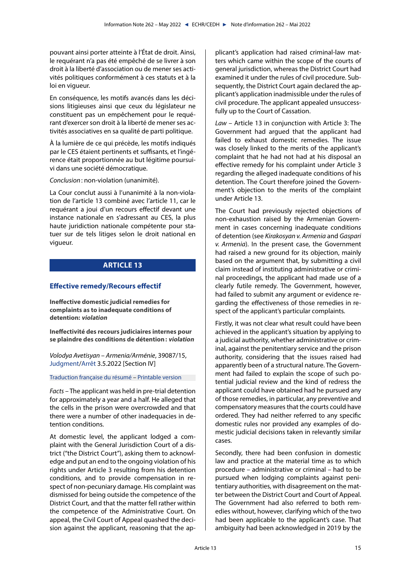<span id="page-14-0"></span>pouvant ainsi porter atteinte à l'État de droit. Ainsi, le requérant n'a pas été empêché de se livrer à son droit à la liberté d'association ou de mener ses activités politiques conformément à ces statuts et à la loi en vigueur.

En conséquence, les motifs avancés dans les décisions litigieuses ainsi que ceux du législateur ne constituent pas un empêchement pour le requérant d'exercer son droit à la liberté de mener ses activités associatives en sa qualité de parti politique.

À la lumière de ce qui précède, les motifs indiqués par le CES étaient pertinents et suffisants, et l'ingérence était proportionnée au but légitime poursuivi dans une société démocratique.

*Conclusion*: non-violation (unanimité).

La Cour conclut aussi à l'unanimité à la non-violation de l'article 13 combiné avec l'article 11, car le requérant a joui d'un recours effectif devant une instance nationale en s'adressant au CES, la plus haute juridiction nationale compétente pour statuer sur de tels litiges selon le droit national en vigueur.

# **ARTICLE 13**

## **Effective remedy/Recours effectif**

**Ineffective domestic judicial remedies for complaints as to inadequate conditions of detention: violation**

**Ineffectivité des recours judiciaires internes pour se plaindre des conditions de détention: violation**

*Volodya Avetisyan – Armenia/Arménie*, 39087/15, [Judgment/](https://hudoc.echr.coe.int/eng?i=001-216938)[Arrêt](https://hudoc.echr.coe.int/fre?i=001-217290) 3.5.2022 [Section IV]

[Traduction française du résumé](https://hudoc.echr.coe.int/fre?i=002-13646) – [Printable version](https://hudoc.echr.coe.int/eng?i=002-13645)

*Facts* – The applicant was held in pre-trial detention for approximately a year and a half. He alleged that the cells in the prison were overcrowded and that there were a number of other inadequacies in detention conditions.

At domestic level, the applicant lodged a complaint with the General Jurisdiction Court of a district ("the District Court"), asking them to acknowledge and put an end to the ongoing violation of his rights under Article 3 resulting from his detention conditions, and to provide compensation in respect of non-pecuniary damage. His complaint was dismissed for being outside the competence of the District Court, and that the matter fell rather within the competence of the Administrative Court. On appeal, the Civil Court of Appeal quashed the decision against the applicant, reasoning that the applicant's application had raised criminal-law matters which came within the scope of the courts of general jurisdiction, whereas the District Court had examined it under the rules of civil procedure. Subsequently, the District Court again declared the applicant's application inadmissible under the rules of civil procedure. The applicant appealed unsuccessfully up to the Court of Cassation.

*Law* – Article 13 in conjunction with Article 3: The Government had argued that the applicant had failed to exhaust domestic remedies. The issue was closely linked to the merits of the applicant's complaint that he had not had at his disposal an effective remedy for his complaint under Article 3 regarding the alleged inadequate conditions of his detention. The Court therefore joined the Government's objection to the merits of the complaint under Article 13.

The Court had previously rejected objections of non-exhaustion raised by the Armenian Government in cases concerning inadequate conditions of detention (see *Kirakosyan v. Armenia* and *Gaspari v. Armenia*). In the present case, the Government had raised a new ground for its objection, mainly based on the argument that, by submitting a civil claim instead of instituting administrative or criminal proceedings, the applicant had made use of a clearly futile remedy. The Government, however, had failed to submit any argument or evidence regarding the effectiveness of those remedies in respect of the applicant's particular complaints.

Firstly, it was not clear what result could have been achieved in the applicant's situation by applying to a judicial authority, whether administrative or criminal, against the penitentiary service and the prison authority, considering that the issues raised had apparently been of a structural nature. The Government had failed to explain the scope of such potential judicial review and the kind of redress the applicant could have obtained had he pursued any of those remedies, in particular, any preventive and compensatory measures that the courts could have ordered. They had neither referred to any specific domestic rules nor provided any examples of domestic judicial decisions taken in relevantly similar cases.

Secondly, there had been confusion in domestic law and practice at the material time as to which procedure – administrative or criminal – had to be pursued when lodging complaints against penitentiary authorities, with disagreement on the matter between the District Court and Court of Appeal. The Government had also referred to both remedies without, however, clarifying which of the two had been applicable to the applicant's case. That ambiguity had been acknowledged in 2019 by the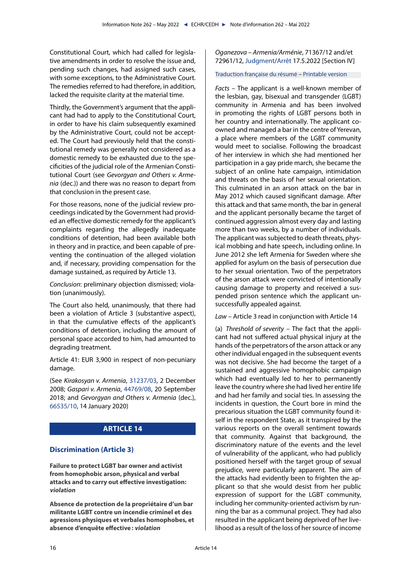<span id="page-15-0"></span>Constitutional Court, which had called for legislative amendments in order to resolve the issue and, pending such changes, had assigned such cases, with some exceptions, to the Administrative Court. The remedies referred to had therefore, in addition, lacked the requisite clarity at the material time.

Thirdly, the Government's argument that the applicant had had to apply to the Constitutional Court, in order to have his claim subsequently examined by the Administrative Court, could not be accepted. The Court had previously held that the constitutional remedy was generally not considered as a domestic remedy to be exhausted due to the specificities of the judicial role of the Armenian Constitutional Court (see *Gevorgyan and Others v. Armenia* (dec.)) and there was no reason to depart from that conclusion in the present case.

For those reasons, none of the judicial review proceedings indicated by the Government had provided an effective domestic remedy for the applicant's complaints regarding the allegedly inadequate conditions of detention, had been available both in theory and in practice, and been capable of preventing the continuation of the alleged violation and, if necessary, providing compensation for the damage sustained, as required by Article 13.

*Conclusion*: preliminary objection dismissed; violation (unanimously).

The Court also held, unanimously, that there had been a violation of Article 3 (substantive aspect), in that the cumulative effects of the applicant's conditions of detention, including the amount of personal space accorded to him, had amounted to degrading treatment.

Article 41: EUR 3,900 in respect of non-pecuniary damage.

(See *Kirakosyan v. Armenia*, [31237/03,](https://hudoc.echr.coe.int/eng?i=001-89959) 2 December 2008; *Gaspari v. Armenia*, [44769/08,](https://hudoc.echr.coe.int/eng?i=001-186115) 20 September 2018; and *Gevorgyan and Others v. Armenia* (dec.), [66535/10](https://hudoc.echr.coe.int/eng?i=001-201098), 14 January 2020)

# **ARTICLE 14**

## **Discrimination (Article 3)**

**Failure to protect LGBT bar owner and activist from homophobic arson, physical and verbal attacks and to carry out effective investigation: violation**

**Absence de protection de la propriétaire d'un bar militante LGBT contre un incendie criminel et des agressions physiques et verbales homophobes, et absence d'enquête effective: violation**

<span id="page-15-1"></span>*Oganezova – Armenia/Arménie*, 71367/12 and/et 72961/12, [Judgment](https://hudoc.echr.coe.int/eng?i=001-217250)[/Arrêt](https://hudoc.echr.coe.int/fre?i=001-217484) 17.5.2022 [Section IV]

## [Traduction française du résumé](https://hudoc.echr.coe.int/fre?i=002-13662) – [Printable version](https://hudoc.echr.coe.int/eng?i=002-13661)

*Facts* – The applicant is a well-known member of the lesbian, gay, bisexual and transgender (LGBT) community in Armenia and has been involved in promoting the rights of LGBT persons both in her country and internationally. The applicant coowned and managed a bar in the centre of Yerevan, a place where members of the LGBT community would meet to socialise. Following the broadcast of her interview in which she had mentioned her participation in a gay pride march, she became the subject of an online hate campaign, intimidation and threats on the basis of her sexual orientation. This culminated in an arson attack on the bar in May 2012 which caused significant damage. After this attack and that same month, the bar in general and the applicant personally became the target of continued aggression almost every day and lasting more than two weeks, by a number of individuals. The applicant was subjected to death threats, physical mobbing and hate speech, including online. In June 2012 she left Armenia for Sweden where she applied for asylum on the basis of persecution due to her sexual orientation. Two of the perpetrators of the arson attack were convicted of intentionally causing damage to property and received a suspended prison sentence which the applicant unsuccessfully appealed against.

*Law* – Article 3 read in conjunction with Article 14

(a) *Threshold of severity* – The fact that the applicant had not suffered actual physical injury at the hands of the perpetrators of the arson attack or any other individual engaged in the subsequent events was not decisive. She had become the target of a sustained and aggressive homophobic campaign which had eventually led to her to permanently leave the country where she had lived her entire life and had her family and social ties. In assessing the incidents in question, the Court bore in mind the precarious situation the LGBT community found itself in the respondent State, as it transpired by the various reports on the overall sentiment towards that community. Against that background, the discriminatory nature of the events and the level of vulnerability of the applicant, who had publicly positioned herself with the target group of sexual prejudice, were particularly apparent. The aim of the attacks had evidently been to frighten the applicant so that she would desist from her public expression of support for the LGBT community, including her community-oriented activism by running the bar as a communal project. They had also resulted in the applicant being deprived of her livelihood as a result of the loss of her source of income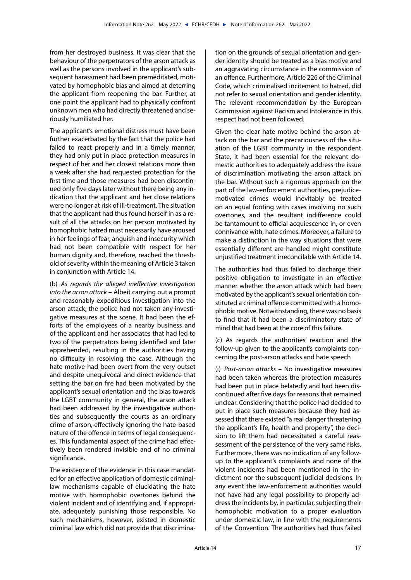from her destroyed business. It was clear that the behaviour of the perpetrators of the arson attack as well as the persons involved in the applicant's subsequent harassment had been premeditated, motivated by homophobic bias and aimed at deterring the applicant from reopening the bar. Further, at one point the applicant had to physically confront unknown men who had directly threatened and seriously humiliated her.

The applicant's emotional distress must have been further exacerbated by the fact that the police had failed to react properly and in a timely manner; they had only put in place protection measures in respect of her and her closest relations more than a week after she had requested protection for the first time and those measures had been discontinued only five days later without there being any indication that the applicant and her close relations were no longer at risk of ill-treatment. The situation that the applicant had thus found herself in as a result of all the attacks on her person motivated by homophobic hatred must necessarily have aroused in her feelings of fear, anguish and insecurity which had not been compatible with respect for her human dignity and, therefore, reached the threshold of severity within the meaning of Article 3 taken in conjunction with Article 14.

(b) *As regards the alleged ineffective investigation into the arson attack* – Albeit carrying out a prompt and reasonably expeditious investigation into the arson attack, the police had not taken any investigative measures at the scene. It had been the efforts of the employees of a nearby business and of the applicant and her associates that had led to two of the perpetrators being identified and later apprehended, resulting in the authorities having no difficulty in resolving the case. Although the hate motive had been overt from the very outset and despite unequivocal and direct evidence that setting the bar on fire had been motivated by the applicant's sexual orientation and the bias towards the LGBT community in general, the arson attack had been addressed by the investigative authorities and subsequently the courts as an ordinary crime of arson, effectively ignoring the hate-based nature of the offence in terms of legal consequences. This fundamental aspect of the crime had effectively been rendered invisible and of no criminal significance.

The existence of the evidence in this case mandated for an effective application of domestic criminallaw mechanisms capable of elucidating the hate motive with homophobic overtones behind the violent incident and of identifying and, if appropriate, adequately punishing those responsible. No such mechanisms, however, existed in domestic criminal law which did not provide that discrimination on the grounds of sexual orientation and gender identity should be treated as a bias motive and an aggravating circumstance in the commission of an offence. Furthermore, Article 226 of the Criminal Code, which criminalised incitement to hatred, did not refer to sexual orientation and gender identity. The relevant recommendation by the European Commission against Racism and Intolerance in this respect had not been followed.

Given the clear hate motive behind the arson attack on the bar and the precariousness of the situation of the LGBT community in the respondent State, it had been essential for the relevant domestic authorities to adequately address the issue of discrimination motivating the arson attack on the bar. Without such a rigorous approach on the part of the law-enforcement authorities, prejudicemotivated crimes would inevitably be treated on an equal footing with cases involving no such overtones, and the resultant indifference could be tantamount to official acquiescence in, or even connivance with, hate crimes. Moreover, a failure to make a distinction in the way situations that were essentially different are handled might constitute unjustified treatment irreconcilable with Article 14.

The authorities had thus failed to discharge their positive obligation to investigate in an effective manner whether the arson attack which had been motivated by the applicant's sexual orientation constituted a criminal offence committed with a homophobic motive. Notwithstanding, there was no basis to find that it had been a discriminatory state of mind that had been at the core of this failure.

(c) As regards the authorities' reaction and the follow-up given to the applicant's complaints concerning the post-arson attacks and hate speech

(i) *Post-arson attacks* – No investigative measures had been taken whereas the protection measures had been put in place belatedly and had been discontinued after five days for reasons that remained unclear. Considering that the police had decided to put in place such measures because they had assessed that there existed "a real danger threatening the applicant's life, health and property", the decision to lift them had necessitated a careful reassessment of the persistence of the very same risks. Furthermore, there was no indication of any followup to the applicant's complaints and none of the violent incidents had been mentioned in the indictment nor the subsequent judicial decisions. In any event the law-enforcement authorities would not have had any legal possibility to properly address the incidents by, in particular, subjecting their homophobic motivation to a proper evaluation under domestic law, in line with the requirements of the Convention. The authorities had thus failed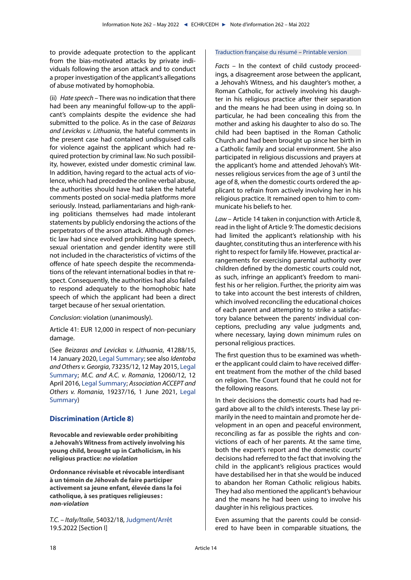<span id="page-17-0"></span>to provide adequate protection to the applicant from the bias-motivated attacks by private individuals following the arson attack and to conduct a proper investigation of the applicant's allegations of abuse motivated by homophobia.

(ii) *Hate speech* – There was no indication that there had been any meaningful follow-up to the applicant's complaints despite the evidence she had submitted to the police. As in the case of *Beizaras and Levickas v. Lithuania*, the hateful comments in the present case had contained undisguised calls for violence against the applicant which had required protection by criminal law. No such possibility, however, existed under domestic criminal law. In addition, having regard to the actual acts of violence, which had preceded the online verbal abuse, the authorities should have had taken the hateful comments posted on social-media platforms more seriously. Instead, parliamentarians and high-ranking politicians themselves had made intolerant statements by publicly endorsing the actions of the perpetrators of the arson attack. Although domestic law had since evolved prohibiting hate speech, sexual orientation and gender identity were still not included in the characteristics of victims of the offence of hate speech despite the recommendations of the relevant international bodies in that respect. Consequently, the authorities had also failed to respond adequately to the homophobic hate speech of which the applicant had been a direct target because of her sexual orientation.

*Conclusion*: violation (unanimously).

Article 41: EUR 12,000 in respect of non-pecuniary damage.

(See *Beizaras and Levickas v. Lithuania*, 41288/15, 14 January 2020, [Legal Summary](https://hudoc.echr.coe.int/eng?i=002-12710); see also *Identoba and Others v. Georgia*, 73235/12, 12 May 2015, [Legal](https://hudoc.echr.coe.int/eng?i=002-10544) [Summary](https://hudoc.echr.coe.int/eng?i=002-10544); *M.C. and A.C. v. Romania*, 12060/12, 12 April 2016, [Legal Summary](https://hudoc.echr.coe.int/eng?i=002-10990); *Association ACCEPT and Others v. Romania*, 19237/16, 1 June 2021, [Legal](https://hudoc.echr.coe.int/eng?i=002-13284) [Summary](https://hudoc.echr.coe.int/eng?i=002-13284))

## **Discrimination (Article 8)**

**Revocable and reviewable order prohibiting a Jehovah's Witness from actively involving his young child, brought up in Catholicism, in his religious practice: no violation**

**Ordonnance révisable et révocable interdisant à un témoin de Jéhovah de faire participer activement sa jeune enfant, élevée dans la foi catholique, à ses pratiques religieuses : non-violation**

*T.C. – Italy/Italie*, 54032/18, [Judgment](https://hudoc.echr.coe.int/eng?i=001-217264)/[Arrêt](https://hudoc.echr.coe.int/fre?i=001-217503) 19.5.2022 [Section I]

#### [Traduction française du résumé](https://hudoc.echr.coe.int/fre?i=002-13666) – [Printable version](https://hudoc.echr.coe.int/eng?i=002-13665)

*Facts* – In the context of child custody proceedings, a disagreement arose between the applicant, a Jehovah's Witness, and his daughter's mother, a Roman Catholic, for actively involving his daughter in his religious practice after their separation and the means he had been using in doing so. In particular, he had been concealing this from the mother and asking his daughter to also do so. The child had been baptised in the Roman Catholic Church and had been brought up since her birth in a Catholic family and social environment. She also participated in religious discussions and prayers at the applicant's home and attended Jehovah's Witnesses religious services from the age of 3 until the age of 8, when the domestic courts ordered the applicant to refrain from actively involving her in his religious practice. It remained open to him to communicate his beliefs to her.

*Law* – Article 14 taken in conjunction with Article 8, read in the light of Article 9: The domestic decisions had limited the applicant's relationship with his daughter, constituting thus an interference with his right to respect for family life. However, practical arrangements for exercising parental authority over children defined by the domestic courts could not, as such, infringe an applicant's freedom to manifest his or her religion. Further, the priority aim was to take into account the best interests of children, which involved reconciling the educational choices of each parent and attempting to strike a satisfactory balance between the parents' individual conceptions, precluding any value judgments and, where necessary, laying down minimum rules on personal religious practices.

The first question thus to be examined was whether the applicant could claim to have received different treatment from the mother of the child based on religion. The Court found that he could not for the following reasons.

In their decisions the domestic courts had had regard above all to the child's interests. These lay primarily in the need to maintain and promote her development in an open and peaceful environment, reconciling as far as possible the rights and convictions of each of her parents. At the same time, both the expert's report and the domestic courts' decisions had referred to the fact that involving the child in the applicant's religious practices would have destabilised her in that she would be induced to abandon her Roman Catholic religious habits. They had also mentioned the applicant's behaviour and the means he had been using to involve his daughter in his religious practices.

Even assuming that the parents could be considered to have been in comparable situations, the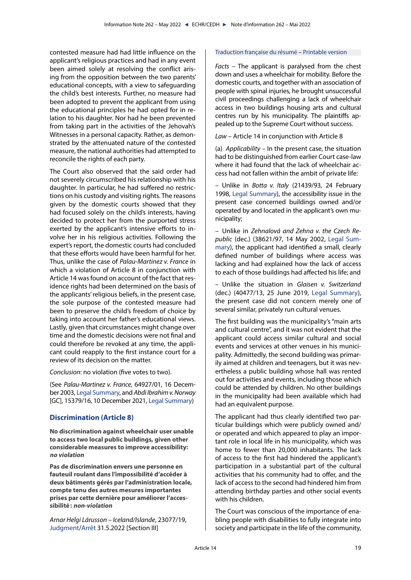<span id="page-18-0"></span>contested measure had had little influence on the applicant's religious practices and had in any event been aimed solely at resolving the conflict arising from the opposition between the two parents' educational concepts, with a view to safeguarding the child's best interests. Further, no measure had been adopted to prevent the applicant from using the educational principles he had opted for in relation to his daughter. Nor had he been prevented from taking part in the activities of the Jehovah's Witnesses in a personal capacity. Rather, as demonstrated by the attenuated nature of the contested measure, the national authorities had attempted to reconcile the rights of each party.

The Court also observed that the said order had not severely circumscribed his relationship with his daughter. In particular, he had suffered no restrictions on his custody and visiting rights. The reasons given by the domestic courts showed that they had focused solely on the child's interests, having decided to protect her from the purported stress exerted by the applicant's intensive efforts to involve her in his religious activities. Following the expert's report, the domestic courts had concluded that these efforts would have been harmful for her. Thus, unlike the case of *Palau-Martinez v. France* in which a violation of Article 8 in conjunction with Article 14 was found on account of the fact that residence rights had been determined on the basis of the applicants' religious beliefs, in the present case, the sole purpose of the contested measure had been to preserve the child's freedom of choice by taking into account her father's educational views. Lastly, given that circumstances might change over time and the domestic decisions were not final and could therefore be revoked at any time, the applicant could reapply to the first instance court for a review of its decision on the matter.

*Conclusion*: no violation (five votes to two).

(See *Palau-Martinez v. France*, 64927/01, 16 December 2003, [Legal Summary,](https://hudoc.echr.coe.int/eng?i=002-4567) and *Abdi Ibrahim v. Norway* [GC], 15379/16, 10 December 2021, [Legal Summary\)](https://hudoc.echr.coe.int/eng?i=002-13518)

## **Discrimination (Article 8)**

**No discrimination against wheelchair user unable to access two local public buildings, given other considerable measures to improve accessibility: no violation**

**Pas de discrimination envers une personne en fauteuil roulant dans l'impossibilité d'accéder à deux bâtiments gérés par l'administration locale, compte tenu des autres mesures importantes prises par cette dernière pour améliorer l'accessibilité: non-violation**

*Arnar Helgi Lárusson – Iceland/Islande*, 23077/19, [Judgment/](https://hudoc.echr.coe.int/eng?i=001-217436)[Arrêt](https://hudoc.echr.coe.int/fre?i=001-217710) 31.5.2022 [Section III]

## [Traduction française du résumé](https://hudoc.echr.coe.int/fre?i=002-13671) – [Printable version](https://hudoc.echr.coe.int/eng?i=002-13670)

*Facts* – The applicant is paralysed from the chest down and uses a wheelchair for mobility. Before the domestic courts, and together with an association of people with spinal injuries, he brought unsuccessful civil proceedings challenging a lack of wheelchair access in two buildings housing arts and cultural centres run by his municipality. The plaintiffs appealed up to the Supreme Court without success.

*Law* – Article 14 in conjunction with Article 8

(a) *Applicability* – In the present case, the situation had to be distinguished from earlier Court case-law where it had found that the lack of wheelchair access had not fallen within the ambit of private life:

– Unlike in *Botta v. Italy* (21439/93, 24 February 1998, [Legal Summary\)](https://hudoc.echr.coe.int/eng?i=002-7744), the accessibility issue in the present case concerned buildings owned and/or operated by and located in the applicant's own municipality;

– Unlike in *Zehnalová and Zehna v. the Czech Republic* (dec.) (38621/97, 14 May 2002, [Legal Sum](https://hudoc.echr.coe.int/eng?i=002-5310)[mary](https://hudoc.echr.coe.int/eng?i=002-5310)), the applicant had identified a small, clearly defined number of buildings where access was lacking and had explained how the lack of access to each of those buildings had affected his life; and

– Unlike the situation in *Glaisen v. Switzerland* (dec.) (40477/13, 25 June 2019, [Legal Summary](https://hudoc.echr.coe.int/eng?i=002-12554)), the present case did not concern merely one of several similar, privately run cultural venues.

The first building was the municipality's "main arts and cultural centre", and it was not evident that the applicant could access similar cultural and social events and services at other venues in his municipality. Admittedly, the second building was primarily aimed at children and teenagers, but it was nevertheless a public building whose hall was rented out for activities and events, including those which could be attended by children. No other buildings in the municipality had been available which had had an equivalent purpose.

The applicant had thus clearly identified two particular buildings which were publicly owned and/ or operated and which appeared to play an important role in local life in his municipality, which was home to fewer than 20,000 inhabitants. The lack of access to the first had hindered the applicant's participation in a substantial part of the cultural activities that his community had to offer, and the lack of access to the second had hindered him from attending birthday parties and other social events with his children.

The Court was conscious of the importance of enabling people with disabilities to fully integrate into society and participate in the life of the community,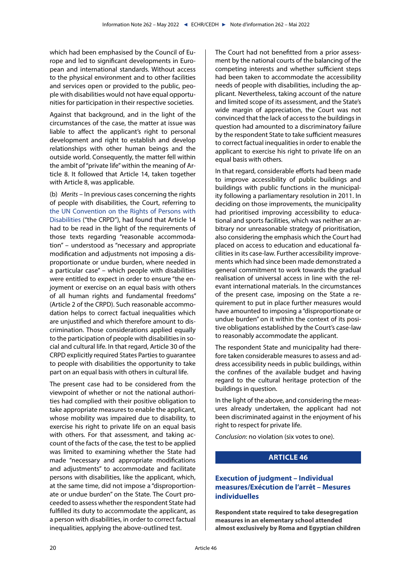<span id="page-19-0"></span>which had been emphasised by the Council of Europe and led to significant developments in European and international standards. Without access to the physical environment and to other facilities and services open or provided to the public, people with disabilities would not have equal opportunities for participation in their respective societies.

Against that background, and in the light of the circumstances of the case, the matter at issue was liable to affect the applicant's right to personal development and right to establish and develop relationships with other human beings and the outside world. Consequently, the matter fell within the ambit of "private life" within the meaning of Article 8. It followed that Article 14, taken together with Article 8, was applicable.

(b) *Merits* – In previous cases concerning the rights of people with disabilities, the Court, referring to [the UN Convention on the Rights of Persons with](https://www.un.org/esa/socdev/enable/documents/tccconve.pdf) [Disabilities](https://www.un.org/esa/socdev/enable/documents/tccconve.pdf) ("the CRPD"), had found that Article 14 had to be read in the light of the requirements of those texts regarding "reasonable accommodation" – understood as "necessary and appropriate modification and adjustments not imposing a disproportionate or undue burden, where needed in a particular case" – which people with disabilities were entitled to expect in order to ensure "the enjoyment or exercise on an equal basis with others of all human rights and fundamental freedoms" (Article 2 of the CRPD). Such reasonable accommodation helps to correct factual inequalities which are unjustified and which therefore amount to discrimination. Those considerations applied equally to the participation of people with disabilities in social and cultural life. In that regard, Article 30 of the CRPD explicitly required States Parties to guarantee to people with disabilities the opportunity to take part on an equal basis with others in cultural life.

The present case had to be considered from the viewpoint of whether or not the national authorities had complied with their positive obligation to take appropriate measures to enable the applicant, whose mobility was impaired due to disability, to exercise his right to private life on an equal basis with others. For that assessment, and taking account of the facts of the case, the test to be applied was limited to examining whether the State had made "necessary and appropriate modifications and adjustments" to accommodate and facilitate persons with disabilities, like the applicant, which, at the same time, did not impose a "disproportionate or undue burden" on the State. The Court proceeded to assess whether the respondent State had fulfilled its duty to accommodate the applicant, as a person with disabilities, in order to correct factual inequalities, applying the above-outlined test.

The Court had not benefitted from a prior assessment by the national courts of the balancing of the competing interests and whether sufficient steps had been taken to accommodate the accessibility needs of people with disabilities, including the applicant. Nevertheless, taking account of the nature and limited scope of its assessment, and the State's wide margin of appreciation, the Court was not convinced that the lack of access to the buildings in question had amounted to a discriminatory failure by the respondent State to take sufficient measures to correct factual inequalities in order to enable the applicant to exercise his right to private life on an equal basis with others.

In that regard, considerable efforts had been made to improve accessibility of public buildings and buildings with public functions in the municipality following a parliamentary resolution in 2011. In deciding on those improvements, the municipality had prioritised improving accessibility to educational and sports facilities, which was neither an arbitrary nor unreasonable strategy of prioritisation, also considering the emphasis which the Court had placed on access to education and educational facilities in its case-law. Further accessibility improvements which had since been made demonstrated a general commitment to work towards the gradual realisation of universal access in line with the relevant international materials. In the circumstances of the present case, imposing on the State a requirement to put in place further measures would have amounted to imposing a "disproportionate or undue burden" on it within the context of its positive obligations established by the Court's case-law to reasonably accommodate the applicant.

The respondent State and municipality had therefore taken considerable measures to assess and address accessibility needs in public buildings, within the confines of the available budget and having regard to the cultural heritage protection of the buildings in question.

In the light of the above, and considering the measures already undertaken, the applicant had not been discriminated against in the enjoyment of his right to respect for private life.

*Conclusion*: no violation (six votes to one).

# **ARTICLE 46**

## **Execution of judgment – Individual measures/Exécution de l'arrêt – Mesures individuelles**

**Respondent state required to take desegregation measures in an elementary school attended almost exclusively by Roma and Egyptian children**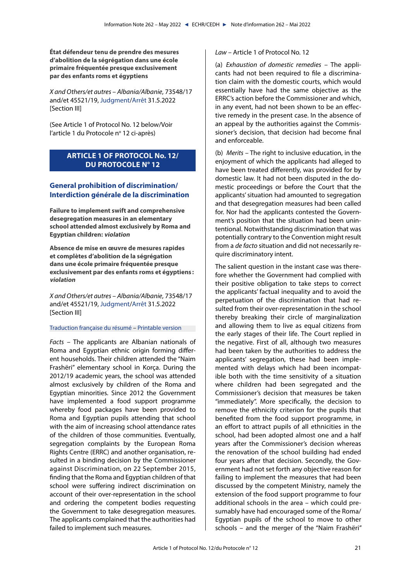<span id="page-20-0"></span>**État défendeur tenu de prendre des mesures d'abolition de la ségrégation dans une école primaire fréquentée presque exclusivement par des enfants roms et égyptiens**

*X and Others/et autres – Albania/Albanie*, 73548/17 and/et 45521/19, [Judgment](https://hudoc.echr.coe.int/eng?i=001-217624)[/Arrêt](https://hudoc.echr.coe.int/fre?i=001-217720) 31.5.2022 [Section III]

(See Article 1 of Protocol No. 12 below/Voir l'article 1 du Protocole nº 12 ci-après)

# **ARTICLE 1 OF PROTOCOL No. 12/ DU PROTOCOLE N° 12**

# **General prohibition of discrimination/ Interdiction générale de la discrimination**

**Failure to implement swift and comprehensive desegregation measures in an elementary school attended almost exclusively by Roma and Egyptian children: violation**

**Absence de mise en œuvre de mesures rapides et complètes d'abolition de la ségrégation dans une école primaire fréquentée presque exclusivement par des enfants roms et égyptiens : violation**

*X and Others/et autres – Albania/Albanie*, 73548/17 and/et 45521/19, [Judgment](https://hudoc.echr.coe.int/eng?i=001-217624)[/Arrêt](https://hudoc.echr.coe.int/fre?i=001-217720) 31.5.2022 [Section III]

#### [Traduction française du résumé](https://hudoc.echr.coe.int/fre?i=002-13672) – [Printable version](https://hudoc.echr.coe.int/eng?i=002-13669)

*Facts* – The applicants are Albanian nationals of Roma and Egyptian ethnic origin forming different households. Their children attended the "Naim Frashëri" elementary school in Korça. During the 2012/19 academic years, the school was attended almost exclusively by children of the Roma and Egyptian minorities. Since 2012 the Government have implemented a food support programme whereby food packages have been provided to Roma and Egyptian pupils attending that school with the aim of increasing school attendance rates of the children of those communities. Eventually, segregation complaints by the European Roma Rights Centre (ERRC) and another organisation, resulted in a binding decision by the Commissioner against Discrimination, on 22 September 2015, finding that the Roma and Egyptian children of that school were suffering indirect discrimination on account of their over-representation in the school and ordering the competent bodies requesting the Government to take desegregation measures. The applicants complained that the authorities had failed to implement such measures.

## *Law* – Article 1 of Protocol No. 12

(a) *Exhaustion of domestic remedies* – The applicants had not been required to file a discrimination claim with the domestic courts, which would essentially have had the same objective as the ERRC's action before the Commissioner and which, in any event, had not been shown to be an effective remedy in the present case. In the absence of an appeal by the authorities against the Commissioner's decision, that decision had become final and enforceable.

(b) *Merits* – The right to inclusive education, in the enjoyment of which the applicants had alleged to have been treated differently, was provided for by domestic law. It had not been disputed in the domestic proceedings or before the Court that the applicants' situation had amounted to segregation and that desegregation measures had been called for. Nor had the applicants contested the Government's position that the situation had been unintentional. Notwithstanding discrimination that was potentially contrary to the Convention might result from a *de facto* situation and did not necessarily require discriminatory intent.

The salient question in the instant case was therefore whether the Government had complied with their positive obligation to take steps to correct the applicants' factual inequality and to avoid the perpetuation of the discrimination that had resulted from their over-representation in the school thereby breaking their circle of marginalization and allowing them to live as equal citizens from the early stages of their life. The Court replied in the negative. First of all, although two measures had been taken by the authorities to address the applicants' segregation, these had been implemented with delays which had been incompatible both with the time sensitivity of a situation where children had been segregated and the Commissioner's decision that measures be taken "immediately". More specifically, the decision to remove the ethnicity criterion for the pupils that benefited from the food support programme, in an effort to attract pupils of all ethnicities in the school, had been adopted almost one and a half years after the Commissioner's decision whereas the renovation of the school building had ended four years after that decision. Secondly, the Government had not set forth any objective reason for failing to implement the measures that had been discussed by the competent Ministry, namely the extension of the food support programme to four additional schools in the area – which could presumably have had encouraged some of the Roma/ Egyptian pupils of the school to move to other schools – and the merger of the "Naim Frashëri"